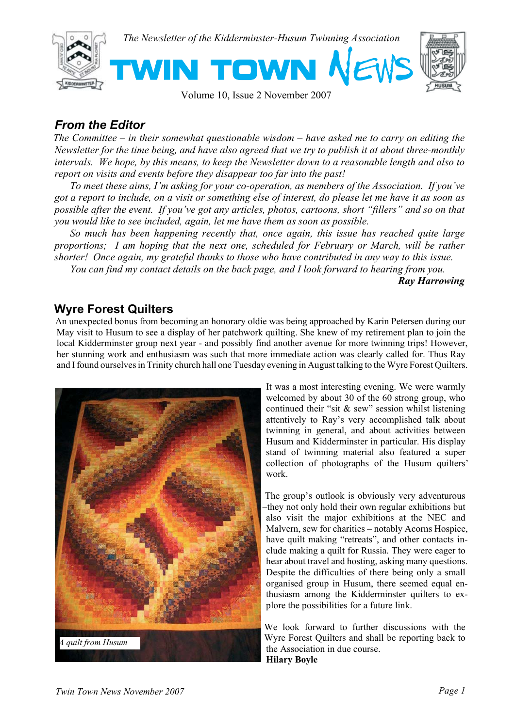

#### Volume 10, Issue 2 November 2007

## *From the Editor*

*The Committee – in their somewhat questionable wisdom – have asked me to carry on editing the Newsletter for the time being, and have also agreed that we try to publish it at about three-monthly intervals. We hope, by this means, to keep the Newsletter down to a reasonable length and also to report on visits and events before they disappear too far into the past!*

 *To meet these aims, I'm asking for your co-operation, as members of the Association. If you've got a report to include, on a visit or something else of interest, do please let me have it as soon as possible after the event. If you've got any articles, photos, cartoons, short "fillers" and so on that you would like to see included, again, let me have them as soon as possible.*

 *So much has been happening recently that, once again, this issue has reached quite large proportions; I am hoping that the next one, scheduled for February or March, will be rather shorter! Once again, my grateful thanks to those who have contributed in any way to this issue.*

 *You can find my contact details on the back page, and I look forward to hearing from you.*

*Ray Harrowing*

#### **Wyre Forest Quilters**

An unexpected bonus from becoming an honorary oldie was being approached by Karin Petersen during our May visit to Husum to see a display of her patchwork quilting. She knew of my retirement plan to join the local Kidderminster group next year - and possibly find another avenue for more twinning trips! However, her stunning work and enthusiasm was such that more immediate action was clearly called for. Thus Ray and I found ourselves in Trinity church hall one Tuesday evening in August talking to the Wyre Forest Quilters.



It was a most interesting evening. We were warmly welcomed by about 30 of the 60 strong group, who continued their "sit & sew" session whilst listening attentively to Ray's very accomplished talk about twinning in general, and about activities between Husum and Kidderminster in particular. His display stand of twinning material also featured a super collection of photographs of the Husum quilters' work.

The group's outlook is obviously very adventurous –they not only hold their own regular exhibitions but also visit the major exhibitions at the NEC and Malvern, sew for charities – notably Acorns Hospice, have quilt making "retreats", and other contacts include making a quilt for Russia. They were eager to hear about travel and hosting, asking many questions. Despite the difficulties of there being only a small organised group in Husum, there seemed equal enthusiasm among the Kidderminster quilters to explore the possibilities for a future link.

We look forward to further discussions with the Wyre Forest Quilters and shall be reporting back to the Association in due course. **Hilary Boyle**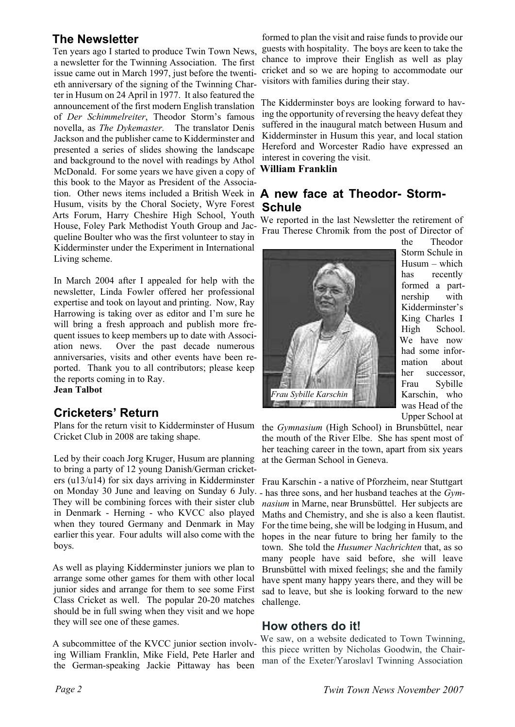## **The Newsletter**

Ten years ago I started to produce Twin Town News, a newsletter for the Twinning Association. The first issue came out in March 1997, just before the twentieth anniversary of the signing of the Twinning Charter in Husum on 24 April in 1977. It also featured the announcement of the first modern English translation of *Der Schimmelreiter*, Theodor Storm's famous novella, as *The Dykemaster.* The translator Denis Jackson and the publisher came to Kidderminster and presented a series of slides showing the landscape and background to the novel with readings by Athol McDonald. For some years we have given a copy of this book to the Mayor as President of the Association. Other news items included a British Week in Husum, visits by the Choral Society, Wyre Forest Arts Forum, Harry Cheshire High School, Youth House, Foley Park Methodist Youth Group and Jacqueline Boulter who was the first volunteer to stay in Kidderminster under the Experiment in International Living scheme.

In March 2004 after I appealed for help with the newsletter, Linda Fowler offered her professional expertise and took on layout and printing. Now, Ray Harrowing is taking over as editor and I'm sure he will bring a fresh approach and publish more frequent issues to keep members up to date with Association news. Over the past decade numerous anniversaries, visits and other events have been reported. Thank you to all contributors; please keep the reports coming in to Ray. **Jean Talbot**

## **Cricketers' Return**

Plans for the return visit to Kidderminster of Husum Cricket Club in 2008 are taking shape.

Led by their coach Jorg Kruger, Husum are planning to bring a party of 12 young Danish/German cricketers (u13/u14) for six days arriving in Kidderminster Frau Karschin - a native of Pforzheim, near Stuttgart on Monday 30 June and leaving on Sunday 6 July. - has three sons, and her husband teaches at the *Gym-*They will be combining forces with their sister club in Denmark - Herning - who KVCC also played when they toured Germany and Denmark in May earlier this year. Four adults will also come with the boys.

As well as playing Kidderminster juniors we plan to arrange some other games for them with other local junior sides and arrange for them to see some First Class Cricket as well. The popular 20-20 matches should be in full swing when they visit and we hope they will see one of these games.

A subcommittee of the KVCC junior section involving William Franklin, Mike Field, Pete Harler and the German-speaking Jackie Pittaway has been

formed to plan the visit and raise funds to provide our guests with hospitality. The boys are keen to take the chance to improve their English as well as play cricket and so we are hoping to accommodate our visitors with families during their stay.

The Kidderminster boys are looking forward to having the opportunity of reversing the heavy defeat they suffered in the inaugural match between Husum and Kidderminster in Husum this year, and local station Hereford and Worcester Radio have expressed an interest in covering the visit.

#### **William Franklin**

#### **A new face at Theodor- Storm-Schule**

We reported in the last Newsletter the retirement of Frau Therese Chromik from the post of Director of



the Theodor Storm Schule in Husum – which has recently formed a partnership with Kidderminster's King Charles I High School. We have now had some information about her successor, Frau Sybille Karschin, who was Head of the Upper School at

the *Gymnasium* (High School) in Brunsbüttel, near the mouth of the River Elbe. She has spent most of her teaching career in the town, apart from six years at the German School in Geneva.

*nasium* in Marne, near Brunsbüttel. Her subjects are Maths and Chemistry, and she is also a keen flautist. For the time being, she will be lodging in Husum, and hopes in the near future to bring her family to the town. She told the *Husumer Nachrichten* that, as so many people have said before, she will leave Brunsbüttel with mixed feelings; she and the family have spent many happy years there, and they will be sad to leave, but she is looking forward to the new challenge.

#### **How others do it!**

We saw, on a website dedicated to Town Twinning, this piece written by Nicholas Goodwin, the Chairman of the Exeter/Yaroslavl Twinning Association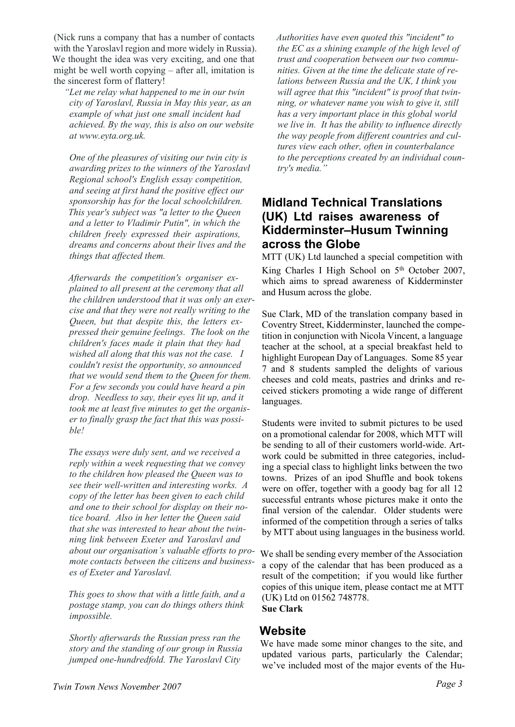(Nick runs a company that has a number of contacts with the Yaroslavl region and more widely in Russia). We thought the idea was very exciting, and one that might be well worth copying – after all, imitation is the sincerest form of flattery!

*"Let me relay what happened to me in our twin city of Yaroslavl, Russia in May this year, as an example of what just one small incident had achieved. By the way, this is also on our website at www.eyta.org.uk.*

*One of the pleasures of visiting our twin city is awarding prizes to the winners of the Yaroslavl Regional school's English essay competition, and seeing at first hand the positive effect our sponsorship has for the local schoolchildren. This year's subject was "a letter to the Queen and a letter to Vladimir Putin", in which the children freely expressed their aspirations, dreams and concerns about their lives and the things that affected them.*

*Afterwards the competition's organiser explained to all present at the ceremony that all the children understood that it was only an exercise and that they were not really writing to the Queen, but that despite this, the letters expressed their genuine feelings. The look on the children's faces made it plain that they had wished all along that this was not the case. I couldn't resist the opportunity, so announced that we would send them to the Queen for them. For a few seconds you could have heard a pin drop. Needless to say, their eyes lit up, and it took me at least five minutes to get the organiser to finally grasp the fact that this was possible!*

*The essays were duly sent, and we received a reply within a week requesting that we convey to the children how pleased the Queen was to see their well-written and interesting works. A copy of the letter has been given to each child and one to their school for display on their notice board. Also in her letter the Queen said that she was interested to hear about the twinning link between Exeter and Yaroslavl and about our organisation's valuable efforts to promote contacts between the citizens and businesses of Exeter and Yaroslavl.*

*This goes to show that with a little faith, and a postage stamp, you can do things others think impossible.*

*Shortly afterwards the Russian press ran the story and the standing of our group in Russia jumped one-hundredfold. The Yaroslavl City*

*Authorities have even quoted this "incident" to the EC as a shining example of the high level of trust and cooperation between our two communities. Given at the time the delicate state of relations between Russia and the UK, I think you will agree that this "incident" is proof that twinning, or whatever name you wish to give it, still has a very important place in this global world we live in. It has the ability to influence directly the way people from different countries and cultures view each other, often in counterbalance to the perceptions created by an individual country's media."*

## **Midland Technical Translations (UK) Ltd raises awareness of Kidderminster–Husum Twinning across the Globe**

MTT (UK) Ltd launched a special competition with King Charles I High School on 5<sup>th</sup> October 2007, which aims to spread awareness of Kidderminster and Husum across the globe.

Sue Clark, MD of the translation company based in Coventry Street, Kidderminster, launched the competition in conjunction with Nicola Vincent, a language teacher at the school, at a special breakfast held to highlight European Day of Languages. Some 85 year 7 and 8 students sampled the delights of various cheeses and cold meats, pastries and drinks and received stickers promoting a wide range of different languages.

Students were invited to submit pictures to be used on a promotional calendar for 2008, which MTT will be sending to all of their customers world-wide. Artwork could be submitted in three categories, including a special class to highlight links between the two towns. Prizes of an ipod Shuffle and book tokens were on offer, together with a goody bag for all 12 successful entrants whose pictures make it onto the final version of the calendar. Older students were informed of the competition through a series of talks by MTT about using languages in the business world.

We shall be sending every member of the Association a copy of the calendar that has been produced as a result of the competition; if you would like further copies of this unique item, please contact me at MTT (UK) Ltd on 01562 748778. **Sue Clark**

#### **Website**

We have made some minor changes to the site, and updated various parts, particularly the Calendar; we've included most of the major events of the Hu-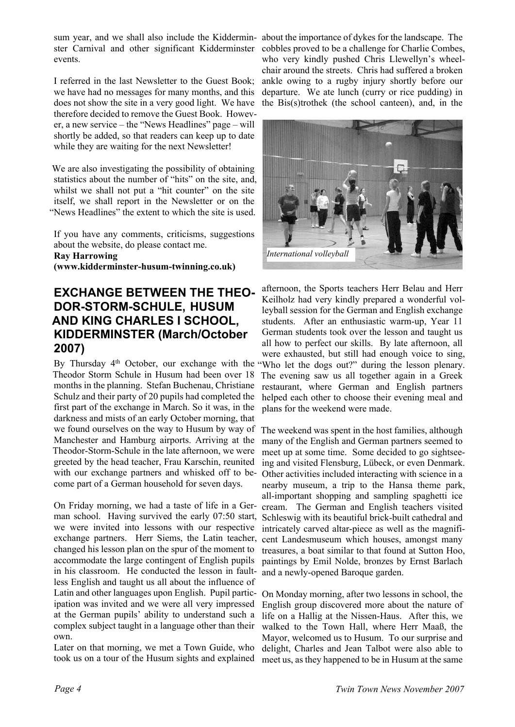sum year, and we shall also include the Kiddermin-about the importance of dykes for the landscape. The ster Carnival and other significant Kidderminster cobbles proved to be a challenge for Charlie Combes, events.

I referred in the last Newsletter to the Guest Book; we have had no messages for many months, and this does not show the site in a very good light. We have therefore decided to remove the Guest Book. However, a new service – the "News Headlines" page – will shortly be added, so that readers can keep up to date while they are waiting for the next Newsletter!

We are also investigating the possibility of obtaining statistics about the number of "hits" on the site, and, whilst we shall not put a "hit counter" on the site itself, we shall report in the Newsletter or on the "News Headlines" the extent to which the site is used.

If you have any comments, criticisms, suggestions about the website, do please contact me. **Ray Harrowing (www.kidderminster-husum-twinning.co.uk)**

### **EXCHANGE BETWEEN THE THEO-DOR-STORM-SCHULE, HUSUM AND KING CHARLES I SCHOOL, KIDDERMINSTER (March/October 2007)**

By Thursday 4<sup>th</sup> October, our exchange with the "Who let the dogs out?" during the lesson plenary. Theodor Storm Schule in Husum had been over 18 months in the planning. Stefan Buchenau, Christiane Schulz and their party of 20 pupils had completed the first part of the exchange in March. So it was, in the darkness and mists of an early October morning, that we found ourselves on the way to Husum by way of The weekend was spent in the host families, although Manchester and Hamburg airports. Arriving at the Theodor-Storm-Schule in the late afternoon, we were greeted by the head teacher, Frau Karschin, reunited with our exchange partners and whisked off to become part of a German household for seven days.

On Friday morning, we had a taste of life in a German school. Having survived the early 07:50 start, we were invited into lessons with our respective exchange partners. Herr Siems, the Latin teacher, cent Landesmuseum which houses, amongst many changed his lesson plan on the spur of the moment to accommodate the large contingent of English pupils in his classroom. He conducted the lesson in faultless English and taught us all about the influence of Latin and other languages upon English. Pupil participation was invited and we were all very impressed at the German pupils' ability to understand such a complex subject taught in a language other than their own.

Later on that morning, we met a Town Guide, who took us on a tour of the Husum sights and explained

who very kindly pushed Chris Llewellyn's wheelchair around the streets. Chris had suffered a broken ankle owing to a rugby injury shortly before our departure. We ate lunch (curry or rice pudding) in the Bis(s)trothek (the school canteen), and, in the



afternoon, the Sports teachers Herr Belau and Herr Keilholz had very kindly prepared a wonderful volleyball session for the German and English exchange students. After an enthusiastic warm-up, Year 11 German students took over the lesson and taught us all how to perfect our skills. By late afternoon, all were exhausted, but still had enough voice to sing, The evening saw us all together again in a Greek restaurant, where German and English partners helped each other to choose their evening meal and plans for the weekend were made.

many of the English and German partners seemed to meet up at some time. Some decided to go sightseeing and visited Flensburg, Lübeck, or even Denmark. Other activities included interacting with science in a nearby museum, a trip to the Hansa theme park, all-important shopping and sampling spaghetti ice cream. The German and English teachers visited Schleswig with its beautiful brick-built cathedral and intricately carved altar-piece as well as the magnifitreasures, a boat similar to that found at Sutton Hoo, paintings by Emil Nolde, bronzes by Ernst Barlach and a newly-opened Baroque garden.

On Monday morning, after two lessons in school, the English group discovered more about the nature of life on a Hallig at the Nissen-Haus. After this, we walked to the Town Hall, where Herr Maaß, the Mayor, welcomed us to Husum. To our surprise and delight, Charles and Jean Talbot were also able to meet us, as they happened to be in Husum at the same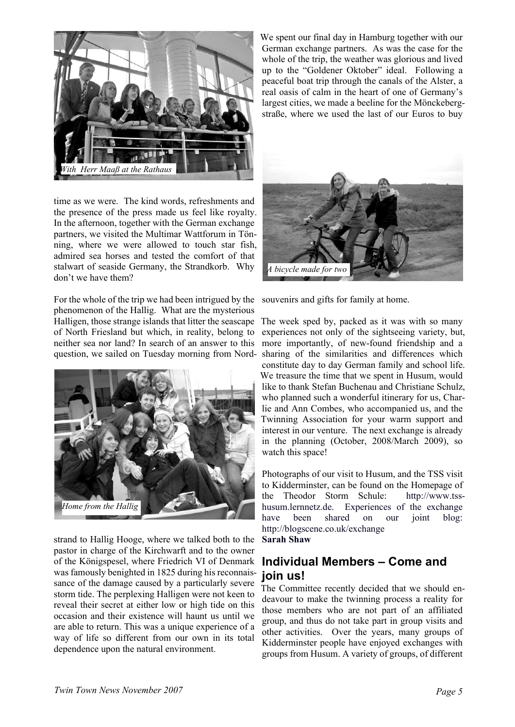

time as we were. The kind words, refreshments and the presence of the press made us feel like royalty. In the afternoon, together with the German exchange partners, we visited the Multimar Wattforum in Tönning, where we were allowed to touch star fish, admired sea horses and tested the comfort of that stalwart of seaside Germany, the Strandkorb. Why don't we have them?

For the whole of the trip we had been intrigued by the phenomenon of the Hallig. What are the mysterious Halligen, those strange islands that litter the seascape The week sped by, packed as it was with so many of North Friesland but which, in reality, belong to neither sea nor land? In search of an answer to this question, we sailed on Tuesday morning from Nord-



strand to Hallig Hooge, where we talked both to the pastor in charge of the Kirchwarft and to the owner of the Königspesel, where Friedrich VI of Denmark was famously benighted in 1825 during his reconnaissance of the damage caused by a particularly severe storm tide. The perplexing Halligen were not keen to reveal their secret at either low or high tide on this occasion and their existence will haunt us until we are able to return. This was a unique experience of a way of life so different from our own in its total dependence upon the natural environment.

We spent our final day in Hamburg together with our German exchange partners. As was the case for the whole of the trip, the weather was glorious and lived up to the "Goldener Oktober" ideal. Following a peaceful boat trip through the canals of the Alster, a real oasis of calm in the heart of one of Germany's largest cities, we made a beeline for the Mönckebergstraße, where we used the last of our Euros to buy



souvenirs and gifts for family at home.

experiences not only of the sightseeing variety, but, more importantly, of new-found friendship and a sharing of the similarities and differences which constitute day to day German family and school life. We treasure the time that we spent in Husum, would like to thank Stefan Buchenau and Christiane Schulz, who planned such a wonderful itinerary for us, Charlie and Ann Combes, who accompanied us, and the Twinning Association for your warm support and interest in our venture. The next exchange is already in the planning (October, 2008/March 2009), so watch this space!

Photographs of our visit to Husum, and the TSS visit to Kidderminster, can be found on the Homepage of the Theodor Storm Schule: http://www.tsshusum.lernnetz.de. Experiences of the exchange have been shared on our joint blog: http://blogscene.co.uk/exchange **Sarah Shaw**

## **Individual Members – Come and join us!**

The Committee recently decided that we should endeavour to make the twinning process a reality for those members who are not part of an affiliated group, and thus do not take part in group visits and other activities. Over the years, many groups of Kidderminster people have enjoyed exchanges with groups from Husum. A variety of groups, of different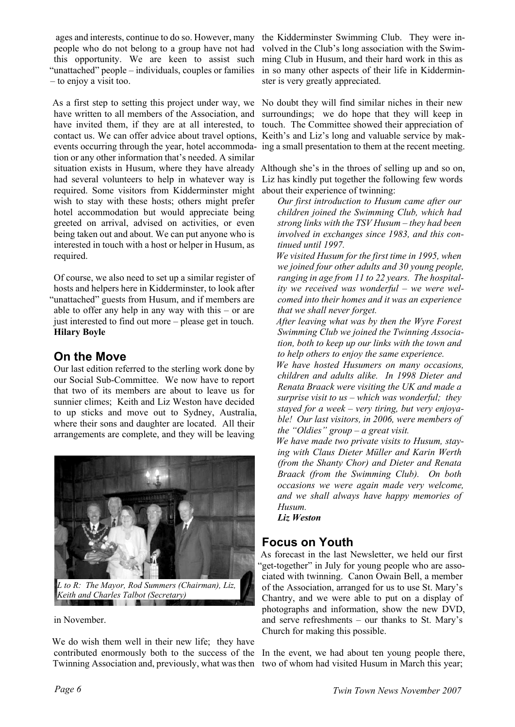ages and interests, continue to do so. However, many the Kidderminster Swimming Club. They were inpeople who do not belong to a group have not had this opportunity. We are keen to assist such "unattached" people – individuals, couples or families – to enjoy a visit too.

As a first step to setting this project under way, we have written to all members of the Association, and have invited them, if they are at all interested, to contact us. We can offer advice about travel options, Keith's and Liz's long and valuable service by makevents occurring through the year, hotel accommoda-ing a small presentation to them at the recent meeting. tion or any other information that's needed. A similar situation exists in Husum, where they have already Although she's in the throes of selling up and so on, had several volunteers to help in whatever way is required. Some visitors from Kidderminster might wish to stay with these hosts; others might prefer hotel accommodation but would appreciate being greeted on arrival, advised on activities, or even being taken out and about. We can put anyone who is interested in touch with a host or helper in Husum, as required.

Of course, we also need to set up a similar register of hosts and helpers here in Kidderminster, to look after "unattached" guests from Husum, and if members are able to offer any help in any way with this – or are just interested to find out more – please get in touch. **Hilary Boyle**

## **On the Move**

Our last edition referred to the sterling work done by our Social Sub-Committee. We now have to report that two of its members are about to leave us for sunnier climes; Keith and Liz Weston have decided to up sticks and move out to Sydney, Australia, where their sons and daughter are located. All their arrangements are complete, and they will be leaving



*Keith and Charles Talbot (Secretary)*

in November.

We do wish them well in their new life; they have contributed enormously both to the success of the Twinning Association and, previously, what was then

volved in the Club's long association with the Swimming Club in Husum, and their hard work in this as in so many other aspects of their life in Kidderminster is very greatly appreciated.

No doubt they will find similar niches in their new surroundings; we do hope that they will keep in touch. The Committee showed their appreciation of

Liz has kindly put together the following few words about their experience of twinning:

*Our first introduction to Husum came after our children joined the Swimming Club, which had strong links with the TSV Husum – they had been involved in exchanges since 1983, and this continued until 1997.*

*We visited Husum for the first time in 1995, when we joined four other adults and 30 young people, ranging in age from 11 to 22 years. The hospitality we received was wonderful – we were welcomed into their homes and it was an experience that we shall never forget.*

*After leaving what was by then the Wyre Forest Swimming Club we joined the Twinning Association, both to keep up our links with the town and to help others to enjoy the same experience.*

*We have hosted Husumers on many occasions, children and adults alike. In 1998 Dieter and Renata Braack were visiting the UK and made a surprise visit to us – which was wonderful; they stayed for a week – very tiring, but very enjoyable! Our last visitors, in 2006, were members of the "Oldies" group – a great visit.*

*We have made two private visits to Husum, staying with Claus Dieter Müller and Karin Werth (from the Shanty Chor) and Dieter and Renata Braack (from the Swimming Club). On both occasions we were again made very welcome, and we shall always have happy memories of Husum.*

*Liz Weston*

#### **Focus on Youth**

As forecast in the last Newsletter, we held our first "get-together" in July for young people who are associated with twinning. Canon Owain Bell, a member of the Association, arranged for us to use St. Mary's Chantry, and we were able to put on a display of photographs and information, show the new DVD, and serve refreshments – our thanks to St. Mary's Church for making this possible.

In the event, we had about ten young people there, two of whom had visited Husum in March this year;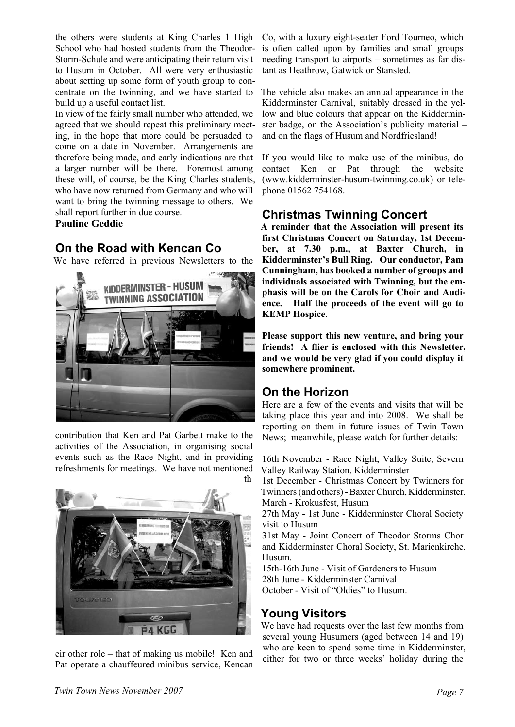the others were students at King Charles 1 High School who had hosted students from the Theodor-Storm-Schule and were anticipating their return visit to Husum in October. All were very enthusiastic about setting up some form of youth group to concentrate on the twinning, and we have started to build up a useful contact list.

In view of the fairly small number who attended, we agreed that we should repeat this preliminary meeting, in the hope that more could be persuaded to come on a date in November. Arrangements are therefore being made, and early indications are that a larger number will be there. Foremost among these will, of course, be the King Charles students, who have now returned from Germany and who will want to bring the twinning message to others. We shall report further in due course.

**Pauline Geddie**

## **On the Road with Kencan Co**

We have referred in previous Newsletters to the



contribution that Ken and Pat Garbett make to the activities of the Association, in organising social events such as the Race Night, and in providing refreshments for meetings. We have not mentioned



eir other role – that of making us mobile! Ken and Pat operate a chauffeured minibus service, Kencan Co, with a luxury eight-seater Ford Tourneo, which is often called upon by families and small groups needing transport to airports – sometimes as far distant as Heathrow, Gatwick or Stansted.

The vehicle also makes an annual appearance in the Kidderminster Carnival, suitably dressed in the yellow and blue colours that appear on the Kidderminster badge, on the Association's publicity material – and on the flags of Husum and Nordfriesland!

If you would like to make use of the minibus, do contact Ken or Pat through the website (www.kidderminster-husum-twinning.co.uk) or telephone 01562 754168.

## **Christmas Twinning Concert**

**A reminder that the Association will present its first Christmas Concert on Saturday, 1st December, at 7.30 p.m., at Baxter Church, in Kidderminster's Bull Ring. Our conductor, Pam Cunningham, has booked a number of groups and individuals associated with Twinning, but the emphasis will be on the Carols for Choir and Audience. Half the proceeds of the event will go to KEMP Hospice.**

**Please support this new venture, and bring your friends! A flier is enclosed with this Newsletter, and we would be very glad if you could display it somewhere prominent.**

## **On the Horizon**

Here are a few of the events and visits that will be taking place this year and into 2008. We shall be reporting on them in future issues of Twin Town News; meanwhile, please watch for further details:

16th November - Race Night, Valley Suite, Severn Valley Railway Station, Kidderminster

1st December - Christmas Concert by Twinners for Twinners (and others) - Baxter Church, Kidderminster. March - Krokusfest, Husum

27th May - 1st June - Kidderminster Choral Society visit to Husum

31st May - Joint Concert of Theodor Storms Chor and Kidderminster Choral Society, St. Marienkirche, Husum.

15th-16th June - Visit of Gardeners to Husum 28th June - Kidderminster Carnival October - Visit of "Oldies" to Husum.

# **Young Visitors**

We have had requests over the last few months from several young Husumers (aged between 14 and 19) who are keen to spend some time in Kidderminster. either for two or three weeks' holiday during the